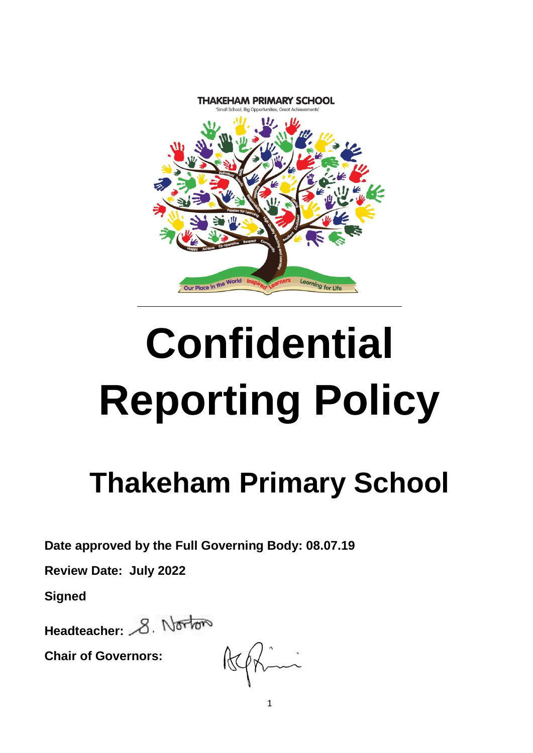

# **Confidential Reporting Policy**

# **Thakeham Primary School**

**Date approved by the Full Governing Body: 08.07.19**

**Review Date: July 2022**

**Signed**

Headteacher: 8. Norton

**Chair of Governors:**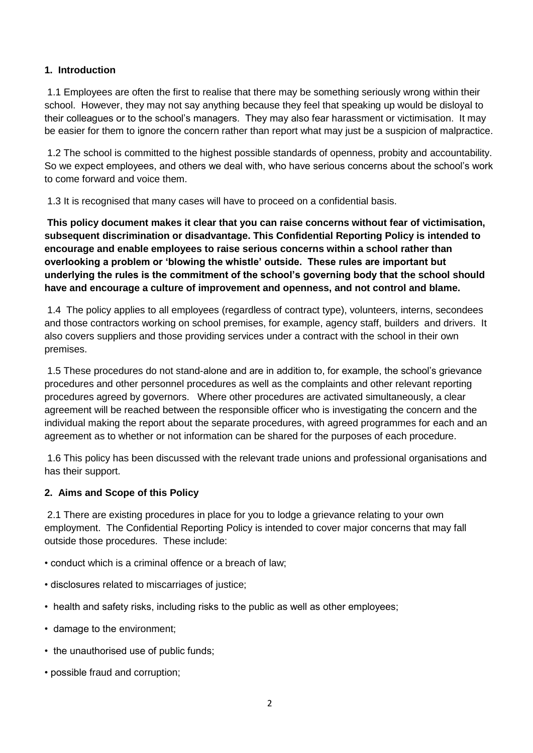#### **1. Introduction**

1.1 Employees are often the first to realise that there may be something seriously wrong within their school. However, they may not say anything because they feel that speaking up would be disloyal to their colleagues or to the school's managers. They may also fear harassment or victimisation. It may be easier for them to ignore the concern rather than report what may just be a suspicion of malpractice.

1.2 The school is committed to the highest possible standards of openness, probity and accountability. So we expect employees, and others we deal with, who have serious concerns about the school's work to come forward and voice them.

1.3 It is recognised that many cases will have to proceed on a confidential basis.

**This policy document makes it clear that you can raise concerns without fear of victimisation, subsequent discrimination or disadvantage. This Confidential Reporting Policy is intended to encourage and enable employees to raise serious concerns within a school rather than overlooking a problem or 'blowing the whistle' outside. These rules are important but underlying the rules is the commitment of the school's governing body that the school should have and encourage a culture of improvement and openness, and not control and blame.** 

1.4 The policy applies to all employees (regardless of contract type), volunteers, interns, secondees and those contractors working on school premises, for example, agency staff, builders and drivers. It also covers suppliers and those providing services under a contract with the school in their own premises.

1.5 These procedures do not stand-alone and are in addition to, for example, the school's grievance procedures and other personnel procedures as well as the complaints and other relevant reporting procedures agreed by governors. Where other procedures are activated simultaneously, a clear agreement will be reached between the responsible officer who is investigating the concern and the individual making the report about the separate procedures, with agreed programmes for each and an agreement as to whether or not information can be shared for the purposes of each procedure.

1.6 This policy has been discussed with the relevant trade unions and professional organisations and has their support.

#### **2. Aims and Scope of this Policy**

2.1 There are existing procedures in place for you to lodge a grievance relating to your own employment. The Confidential Reporting Policy is intended to cover major concerns that may fall outside those procedures. These include:

- conduct which is a criminal offence or a breach of law;
- disclosures related to miscarriages of justice;
- health and safety risks, including risks to the public as well as other employees;
- damage to the environment;
- the unauthorised use of public funds;
- possible fraud and corruption;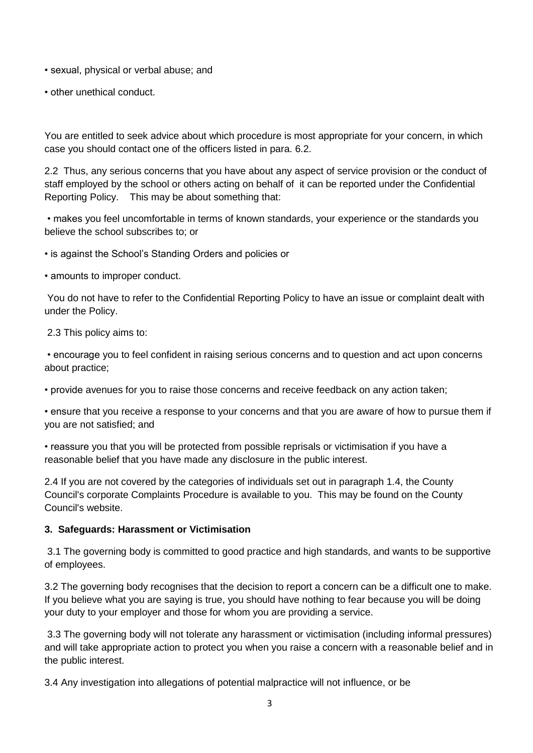• sexual, physical or verbal abuse; and

• other unethical conduct.

You are entitled to seek advice about which procedure is most appropriate for your concern, in which case you should contact one of the officers listed in para. 6.2.

2.2 Thus, any serious concerns that you have about any aspect of service provision or the conduct of staff employed by the school or others acting on behalf of it can be reported under the Confidential Reporting Policy. This may be about something that:

• makes you feel uncomfortable in terms of known standards, your experience or the standards you believe the school subscribes to; or

• is against the School's Standing Orders and policies or

• amounts to improper conduct.

You do not have to refer to the Confidential Reporting Policy to have an issue or complaint dealt with under the Policy.

2.3 This policy aims to:

• encourage you to feel confident in raising serious concerns and to question and act upon concerns about practice;

• provide avenues for you to raise those concerns and receive feedback on any action taken;

• ensure that you receive a response to your concerns and that you are aware of how to pursue them if you are not satisfied; and

• reassure you that you will be protected from possible reprisals or victimisation if you have a reasonable belief that you have made any disclosure in the public interest.

2.4 If you are not covered by the categories of individuals set out in paragraph 1.4, the County Council's corporate Complaints Procedure is available to you. This may be found on the County Council's website.

#### **3. Safeguards: Harassment or Victimisation**

3.1 The governing body is committed to good practice and high standards, and wants to be supportive of employees.

3.2 The governing body recognises that the decision to report a concern can be a difficult one to make. If you believe what you are saying is true, you should have nothing to fear because you will be doing your duty to your employer and those for whom you are providing a service.

3.3 The governing body will not tolerate any harassment or victimisation (including informal pressures) and will take appropriate action to protect you when you raise a concern with a reasonable belief and in the public interest.

3.4 Any investigation into allegations of potential malpractice will not influence, or be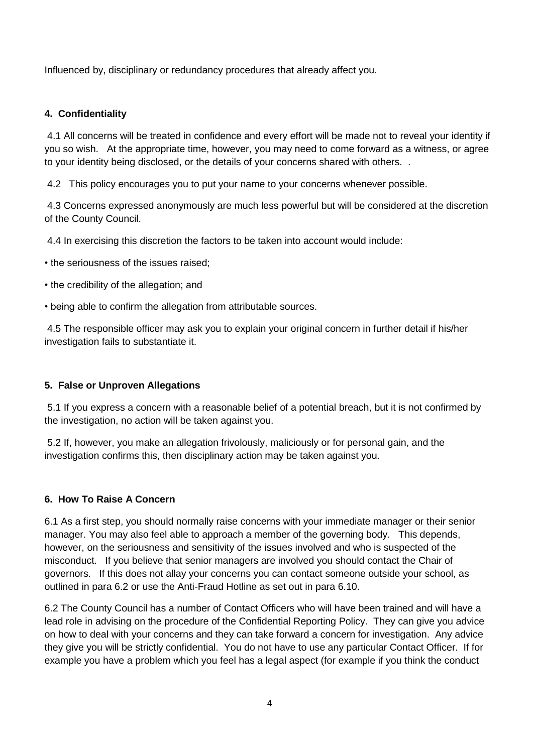Influenced by, disciplinary or redundancy procedures that already affect you.

### **4. Confidentiality**

4.1 All concerns will be treated in confidence and every effort will be made not to reveal your identity if you so wish. At the appropriate time, however, you may need to come forward as a witness, or agree to your identity being disclosed, or the details of your concerns shared with others. .

4.2 This policy encourages you to put your name to your concerns whenever possible.

4.3 Concerns expressed anonymously are much less powerful but will be considered at the discretion of the County Council.

4.4 In exercising this discretion the factors to be taken into account would include:

• the seriousness of the issues raised;

- the credibility of the allegation; and
- being able to confirm the allegation from attributable sources.

4.5 The responsible officer may ask you to explain your original concern in further detail if his/her investigation fails to substantiate it.

#### **5. False or Unproven Allegations**

5.1 If you express a concern with a reasonable belief of a potential breach, but it is not confirmed by the investigation, no action will be taken against you.

5.2 If, however, you make an allegation frivolously, maliciously or for personal gain, and the investigation confirms this, then disciplinary action may be taken against you.

#### **6. How To Raise A Concern**

6.1 As a first step, you should normally raise concerns with your immediate manager or their senior manager. You may also feel able to approach a member of the governing body. This depends, however, on the seriousness and sensitivity of the issues involved and who is suspected of the misconduct. If you believe that senior managers are involved you should contact the Chair of governors. If this does not allay your concerns you can contact someone outside your school, as outlined in para 6.2 or use the Anti-Fraud Hotline as set out in para 6.10.

6.2 The County Council has a number of Contact Officers who will have been trained and will have a lead role in advising on the procedure of the Confidential Reporting Policy. They can give you advice on how to deal with your concerns and they can take forward a concern for investigation. Any advice they give you will be strictly confidential. You do not have to use any particular Contact Officer. If for example you have a problem which you feel has a legal aspect (for example if you think the conduct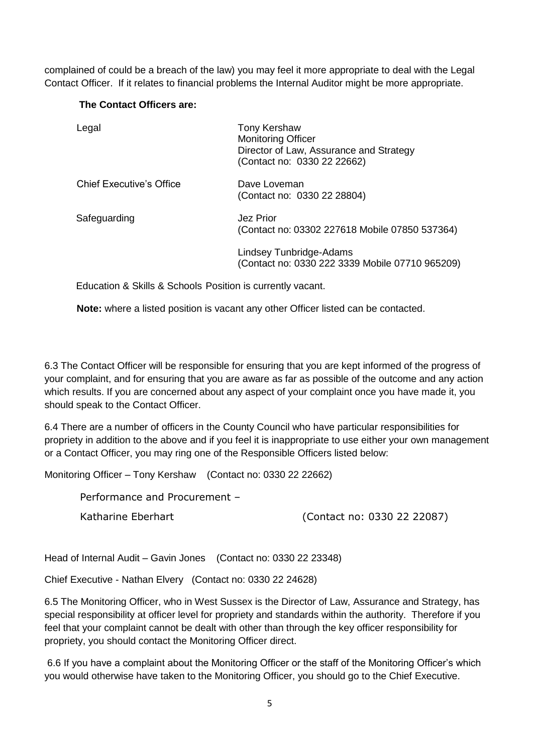complained of could be a breach of the law) you may feel it more appropriate to deal with the Legal Contact Officer. If it relates to financial problems the Internal Auditor might be more appropriate.

#### **The Contact Officers are:**

| Legal                           | <b>Tony Kershaw</b><br><b>Monitoring Officer</b><br>Director of Law, Assurance and Strategy<br>(Contact no: 0330 22 22662) |
|---------------------------------|----------------------------------------------------------------------------------------------------------------------------|
| <b>Chief Executive's Office</b> | Dave Loveman<br>(Contact no: 0330 22 28804)                                                                                |
| Safeguarding                    | Jez Prior<br>(Contact no: 03302 227618 Mobile 07850 537364)                                                                |
|                                 | Lindsey Tunbridge-Adams<br>(Contact no: 0330 222 3339 Mobile 07710 965209)                                                 |

Education & Skills & Schools Position is currently vacant.

**Note:** where a listed position is vacant any other Officer listed can be contacted.

6.3 The Contact Officer will be responsible for ensuring that you are kept informed of the progress of your complaint, and for ensuring that you are aware as far as possible of the outcome and any action which results. If you are concerned about any aspect of your complaint once you have made it, you should speak to the Contact Officer.

6.4 There are a number of officers in the County Council who have particular responsibilities for propriety in addition to the above and if you feel it is inappropriate to use either your own management or a Contact Officer, you may ring one of the Responsible Officers listed below:

Monitoring Officer – Tony Kershaw (Contact no: 0330 22 22662)

Performance and Procurement –

Katharine Eberhart (Contact no: 0330 22 22087)

Head of Internal Audit – Gavin Jones (Contact no: 0330 22 23348)

Chief Executive - Nathan Elvery (Contact no: 0330 22 24628)

6.5 The Monitoring Officer, who in West Sussex is the Director of Law, Assurance and Strategy, has special responsibility at officer level for propriety and standards within the authority. Therefore if you feel that your complaint cannot be dealt with other than through the key officer responsibility for propriety, you should contact the Monitoring Officer direct.

6.6 If you have a complaint about the Monitoring Officer or the staff of the Monitoring Officer's which you would otherwise have taken to the Monitoring Officer, you should go to the Chief Executive.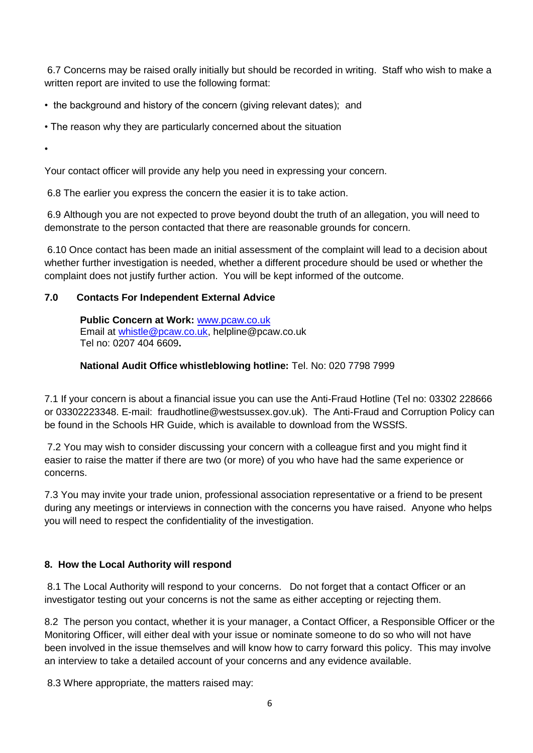6.7 Concerns may be raised orally initially but should be recorded in writing. Staff who wish to make a written report are invited to use the following format:

• the background and history of the concern (giving relevant dates); and

• The reason why they are particularly concerned about the situation

•

Your contact officer will provide any help you need in expressing your concern.

6.8 The earlier you express the concern the easier it is to take action.

6.9 Although you are not expected to prove beyond doubt the truth of an allegation, you will need to demonstrate to the person contacted that there are reasonable grounds for concern.

6.10 Once contact has been made an initial assessment of the complaint will lead to a decision about whether further investigation is needed, whether a different procedure should be used or whether the complaint does not justify further action. You will be kept informed of the outcome.

# **7.0 Contacts For Independent External Advice**

**Public Concern at Work:** [www.pcaw.co.uk](http://www.pcaw.co.uk/) Email at [whistle@pcaw.co.uk,](mailto:whistle@pcaw.co.uk) helpline@pcaw.co.uk Tel no: 0207 404 6609**.**

#### **National Audit Office whistleblowing hotline:** Tel. No: 020 7798 7999

7.1 If your concern is about a financial issue you can use the Anti-Fraud Hotline (Tel no: 03302 228666 or 03302223348. E-mail: fraudhotline@westsussex.gov.uk). The Anti-Fraud and Corruption Policy can be found in the Schools HR Guide, which is available to download from the WSSfS.

7.2 You may wish to consider discussing your concern with a colleague first and you might find it easier to raise the matter if there are two (or more) of you who have had the same experience or concerns.

7.3 You may invite your trade union, professional association representative or a friend to be present during any meetings or interviews in connection with the concerns you have raised. Anyone who helps you will need to respect the confidentiality of the investigation.

#### **8. How the Local Authority will respond**

8.1 The Local Authority will respond to your concerns. Do not forget that a contact Officer or an investigator testing out your concerns is not the same as either accepting or rejecting them.

8.2 The person you contact, whether it is your manager, a Contact Officer, a Responsible Officer or the Monitoring Officer, will either deal with your issue or nominate someone to do so who will not have been involved in the issue themselves and will know how to carry forward this policy. This may involve an interview to take a detailed account of your concerns and any evidence available.

8.3 Where appropriate, the matters raised may: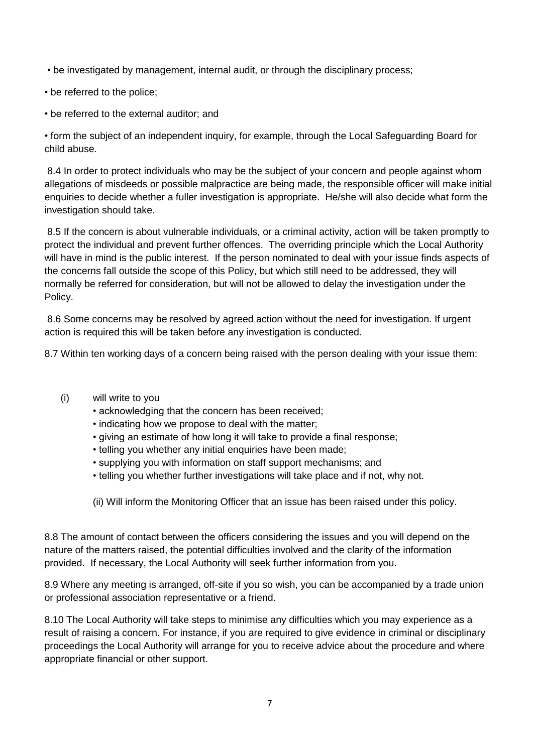• be investigated by management, internal audit, or through the disciplinary process;

- be referred to the police;
- be referred to the external auditor; and

• form the subject of an independent inquiry, for example, through the Local Safeguarding Board for child abuse.

8.4 In order to protect individuals who may be the subject of your concern and people against whom allegations of misdeeds or possible malpractice are being made, the responsible officer will make initial enquiries to decide whether a fuller investigation is appropriate. He/she will also decide what form the investigation should take.

8.5 If the concern is about vulnerable individuals, or a criminal activity, action will be taken promptly to protect the individual and prevent further offences. The overriding principle which the Local Authority will have in mind is the public interest. If the person nominated to deal with your issue finds aspects of the concerns fall outside the scope of this Policy, but which still need to be addressed, they will normally be referred for consideration, but will not be allowed to delay the investigation under the Policy.

8.6 Some concerns may be resolved by agreed action without the need for investigation. If urgent action is required this will be taken before any investigation is conducted.

8.7 Within ten working days of a concern being raised with the person dealing with your issue them:

- (i) will write to you
	- acknowledging that the concern has been received;
	- indicating how we propose to deal with the matter;
	- giving an estimate of how long it will take to provide a final response;
	- telling you whether any initial enquiries have been made;
	- supplying you with information on staff support mechanisms; and
	- telling you whether further investigations will take place and if not, why not.

(ii) Will inform the Monitoring Officer that an issue has been raised under this policy.

8.8 The amount of contact between the officers considering the issues and you will depend on the nature of the matters raised, the potential difficulties involved and the clarity of the information provided. If necessary, the Local Authority will seek further information from you.

8.9 Where any meeting is arranged, off-site if you so wish, you can be accompanied by a trade union or professional association representative or a friend.

8.10 The Local Authority will take steps to minimise any difficulties which you may experience as a result of raising a concern. For instance, if you are required to give evidence in criminal or disciplinary proceedings the Local Authority will arrange for you to receive advice about the procedure and where appropriate financial or other support.